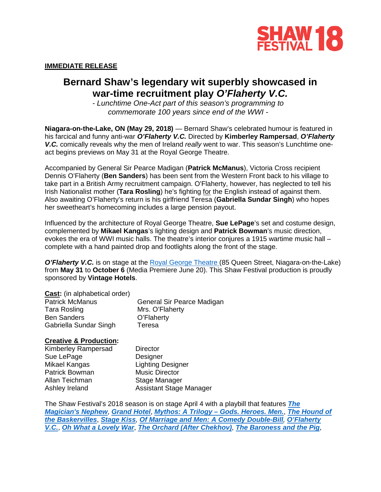

## **IMMEDIATE RELEASE**

# **Bernard Shaw's legendary wit superbly showcased in war-time recruitment play** *O'Flaherty V.C.*

*- Lunchtime One-Act part of this season's programming to commemorate 100 years since end of the WWI -*

**Niagara-on-the-Lake, ON (May 29, 2018)** — Bernard Shaw's celebrated humour is featured in his farcical and funny anti-war *O'Flaherty V.C.* Directed by **Kimberley Rampersad**, *O'Flaherty V.C.* comically reveals why the men of Ireland *really* went to war. This season's Lunchtime oneact begins previews on May 31 at the Royal George Theatre.

Accompanied by General Sir Pearce Madigan (**Patrick McManus**), Victoria Cross recipient Dennis O'Flaherty (**Ben Sanders**) has been sent from the Western Front back to his village to take part in a British Army recruitment campaign. O'Flaherty, however, has neglected to tell his Irish Nationalist mother (**Tara Rosling**) he's fighting for the English instead of against them. Also awaiting O'Flaherty's return is his girlfriend Teresa (**Gabriella Sundar Singh**) who hopes her sweetheart's homecoming includes a large pension payout.

Influenced by the architecture of Royal George Theatre, **Sue LePage**'s set and costume design, complemented by **Mikael Kangas**'s lighting design and **Patrick Bowman**'s music direction, evokes the era of WWI music halls. The theatre's interior conjures a 1915 wartime music hall – complete with a hand painted drop and footlights along the front of the stage.

**O'Flaherty V.C.** is on stage at the [Royal George Theatre](https://www.shawfest.com/visit/theatres/#royal-george-theatre) (85 Queen Street, Niagara-on-the-Lake) from **May 31** to **October 6** (Media Premiere June 20). This Shaw Festival production is proudly sponsored by **Vintage Hotels**.

| <b>Cast:</b> (in alphabetical order) |                            |
|--------------------------------------|----------------------------|
| <b>Patrick McManus</b>               | General Sir Pearce Madigan |
| <b>Tara Rosling</b>                  | Mrs. O'Flaherty            |
| <b>Ben Sanders</b>                   | O'Flaherty                 |
| Gabriella Sundar Singh               | Teresa                     |

## **Creative & Production:**

Kimberley Rampersad Sue LePage Mikael Kangas Patrick Bowman Allan Teichman Ashley Ireland

**Director Designer** Lighting Designer Music Director Stage Manager Assistant Stage Manager

The Shaw Festival's 2018 season is on stage April 4 with a playbill that features *[The](https://www.shawfest.com/playbill/the-magicians-nephew/)  [Magician's Nephew](https://www.shawfest.com/playbill/the-magicians-nephew/)*, *[Grand Hotel](https://www.shawfest.com/playbill/grand-hotel/)*, *Mythos: A Trilogy – [Gods. Heroes. Men.](https://www.shawfest.com/playbill/mythos-trilogy-gods-heroes-men/)*, *[The Hound](https://www.shawfest.com/playbill/the-hound-of-the-baskervilles/) of [the Baskervilles](https://www.shawfest.com/playbill/the-hound-of-the-baskervilles/)*, *[Stage Kiss](https://www.shawfest.com/playbill/stage-kiss/), [Of Marriage and Men: A Comedy Double-Bill](https://www.shawfest.com/playbill/of-marriage-men/), [O'Flaherty](https://www.shawfest.com/playbill/oflaherty-v-c/)  [V.C.](https://www.shawfest.com/playbill/oflaherty-v-c/)*, *[Oh What a Lovely War](https://www.shawfest.com/playbill/oh-lovely-war/)*, *[The Orchard \(After Chekhov\)](https://www.shawfest.com/playbill/the-orchard-after-chekhov/)*, *[The Baroness and the Pig](https://www.shawfest.com/playbill/the-baroness-and-the-pig/)*,